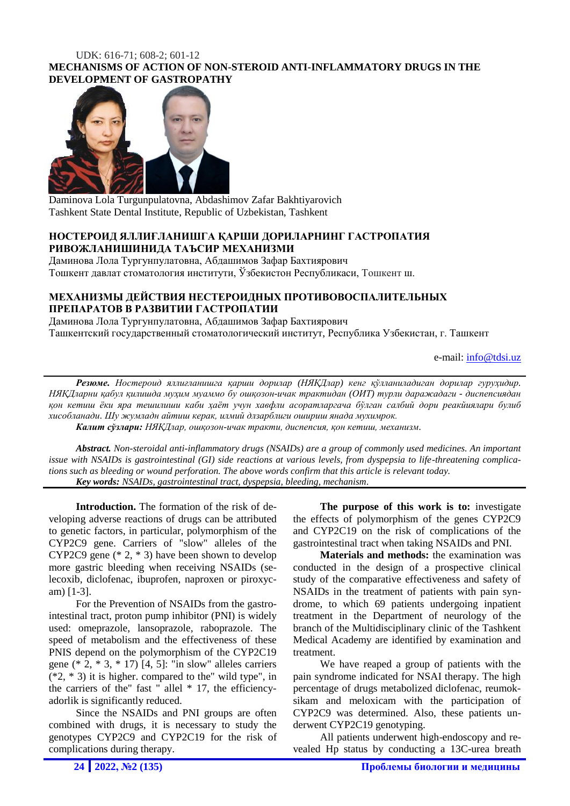### UDK: 616-71; 608-2; 601-12 **MECHANISMS OF ACTION OF NON-STEROID ANTI-INFLAMMATORY DRUGS IN THE DEVELOPMENT OF GASTROPATHY**



Daminova Lola Turgunpulatovna, Abdashimov Zafar Bakhtiyarovich Tashkent State Dental Institute, Republic of Uzbekistan, Tashkent

## **НОСТЕРОИД ЯЛЛИҒЛАНИШГА ҚАРШИ ДОРИЛАРНИНГ ГАСТРОПАТИЯ РИВОЖЛАНИШИНИДА ТАЪСИР МЕХАНИЗМИ**

Даминова Лола Тургунпулатовна, Абдашимов Зафар Бахтиярович Тошкент давлат стоматология институти, Ўзбекистон Республикаси, Tошкент ш.

# **МЕХАНИЗМЫ ДЕЙСТВИЯ НЕСТЕРОИДНЫХ ПРОТИВОВОСПАЛИТЕЛЬНЫХ ПРЕПАРАТОВ В РАЗВИТИИ ГАСТРОПАТИИ**

Даминова Лола Тургунпулатовна, Абдашимов Зафар Бахтиярович Ташкентский государственный стоматологический институт, Республика Узбекистан, г. Ташкент

e-mail: [info@tdsi.uz](mailto:info@tdsi.uz)

*Резюме. Ностероид яллиғланишга қарши дорилар (НЯҚДлар) кенг қўлланиладиган дорилар гуруҳидир. НЯҚДларни қабул қилишда муҳим муаммо бу ошқозон-ичак трактидан (ОИТ) турли даражадаги - диспепсиядан қон кетиш ёки яра тешилиши каби ҳаёт учун хавфли асоратларгача бўлган салбий дори реакйиялари булиб хисобланади. Шу жумладн айтиш керак, илмий длзарблиги ошириш янада мухимрок.*

*Калит сўзлари: НЯҚДлар, ошқозон-ичак тракти, диспепсия, қон кетиш, механизм.*

*Abstract. Non-steroidal anti-inflammatory drugs (NSAIDs) are a group of commonly used medicines. An important issue with NSAIDs is gastrointestinal (GI) side reactions at various levels, from dyspepsia to life-threatening complications such as bleeding or wound perforation. The above words confirm that this article is relevant today. Key words: NSAIDs, gastrointestinal tract, dyspepsia, bleeding, mechanism.*

**Introduction.** The formation of the risk of developing adverse reactions of drugs can be attributed to genetic factors, in particular, polymorphism of the CYP2C9 gene. Carriers of "slow" alleles of the CYP2C9 gene (\* 2, \* 3) have been shown to develop more gastric bleeding when receiving NSAIDs (selecoxib, diclofenac, ibuprofen, naproxen or piroxycam) [1-3].

For the Prevention of NSAIDs from the gastrointestinal tract, proton pump inhibitor (PNI) is widely used: omeprazole, lansoprazole, raboprazole. The speed of metabolism and the effectiveness of these PNIS depend on the polymorphism of the CYP2C19 gene (\* 2, \* 3, \* 17) [4, 5]: "in slow" alleles carriers  $(*2, *3)$  it is higher. compared to the" wild type", in the carriers of the" fast " allel  $*$  17, the efficiencyadorlik is significantly reduced.

Since the NSAIDs and PNI groups are often combined with drugs, it is necessary to study the genotypes CYP2C9 and CYP2C19 for the risk of complications during therapy.

**The purpose of this work is to:** investigate the effects of polymorphism of the genes CYP2C9 and CYP2C19 on the risk of complications of the gastrointestinal tract when taking NSAIDs and PNI.

**Materials and methods:** the examination was conducted in the design of a prospective clinical study of the comparative effectiveness and safety of NSAIDs in the treatment of patients with pain syndrome, to which 69 patients undergoing inpatient treatment in the Department of neurology of the branch of the Multidisciplinary clinic of the Tashkent Medical Academy are identified by examination and treatment.

We have reaped a group of patients with the pain syndrome indicated for NSAI therapy. The high percentage of drugs metabolized diclofenac, reumoksikam and meloxicam with the participation of CYP2C9 was determined. Also, these patients underwent CYP2C19 genotyping.

All patients underwent high-endoscopy and revealed Hp status by conducting a 13C-urea breath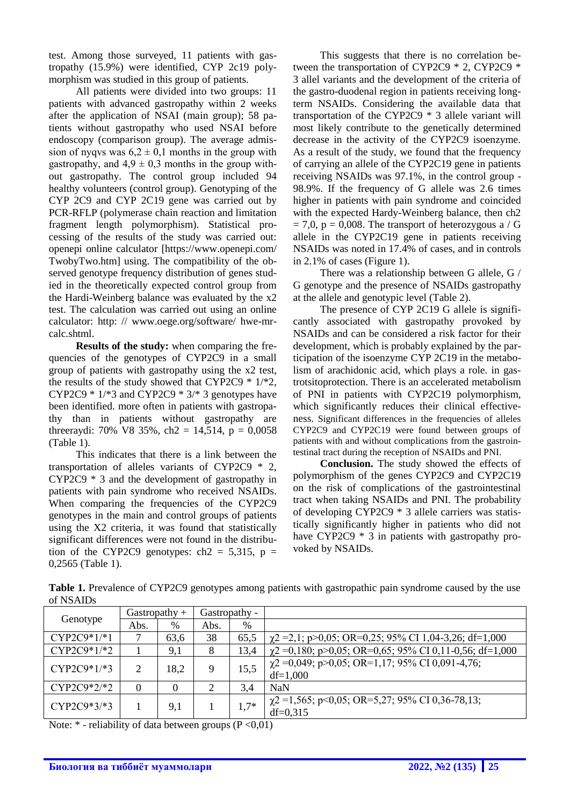test. Among those surveyed, 11 patients with gastropathy (15.9%) were identified, CYP 2c19 polymorphism was studied in this group of patients.

All patients were divided into two groups: 11 patients with advanced gastropathy within 2 weeks after the application of NSAI (main group); 58 patients without gastropathy who used NSAI before endoscopy (comparison group). The average admission of nyqvs was  $6.2 \pm 0.1$  months in the group with gastropathy, and  $4.9 \pm 0.3$  months in the group without gastropathy. The control group included 94 healthy volunteers (control group). Genotyping of the CYP 2C9 and CYP 2C19 gene was carried out by PCR-RFLP (polymerase chain reaction and limitation fragment length polymorphism). Statistical processing of the results of the study was carried out: openepi online calculator [https://www.openepi.com/ TwobyTwo.htm] using. The compatibility of the observed genotype frequency distribution of genes studied in the theoretically expected control group from the Hardi-Weinberg balance was evaluated by the x2 test. The calculation was carried out using an online calculator: http: // www.oege.org/software/ hwe-mrcalc.shtml.

**Results of the study:** when comparing the frequencies of the genotypes of CYP2C9 in a small group of patients with gastropathy using the x2 test, the results of the study showed that CYP2C9  $*$  1/ $*2$ , CYP2C9  $* 1/*3$  and CYP2C9  $* 3/*3$  genotypes have been identified. more often in patients with gastropathy than in patients without gastropathy are threeraydi: 70% V8 35%, ch2 = 14,514,  $p = 0,0058$ (Table 1).

This indicates that there is a link between the transportation of alleles variants of CYP2C9 \* 2, CYP2C9 \* 3 and the development of gastropathy in patients with pain syndrome who received NSAIDs. When comparing the frequencies of the CYP2C9 genotypes in the main and control groups of patients using the X2 criteria, it was found that statistically significant differences were not found in the distribution of the CYP2C9 genotypes:  $ch2 = 5,315$ ,  $p =$ 0,2565 (Table 1).

This suggests that there is no correlation between the transportation of CYP2C9 \* 2, CYP2C9 \* 3 allel variants and the development of the criteria of the gastro-duodenal region in patients receiving longterm NSAIDs. Considering the available data that transportation of the CYP2C9 \* 3 allele variant will most likely contribute to the genetically determined decrease in the activity of the CYP2C9 isoenzyme. As a result of the study, we found that the frequency of carrying an allele of the CYP2C19 gene in patients receiving NSAIDs was 97.1%, in the control group - 98.9%. If the frequency of G allele was 2.6 times higher in patients with pain syndrome and coincided with the expected Hardy-Weinberg balance, then ch2  $= 7.0$ , p  $= 0.008$ . The transport of heterozygous a / G allele in the CYP2C19 gene in patients receiving NSAIDs was noted in 17.4% of cases, and in controls in 2.1% of cases (Figure 1).

There was a relationship between G allele, G / G genotype and the presence of NSAIDs gastropathy at the allele and genotypic level (Table 2).

The presence of CYP 2C19 G allele is significantly associated with gastropathy provoked by NSAIDs and can be considered a risk factor for their development, which is probably explained by the participation of the isoenzyme CYP 2C19 in the metabolism of arachidonic acid, which plays a role. in gastrotsitoprotection. There is an accelerated metabolism of PNI in patients with CYP2C19 polymorphism, which significantly reduces their clinical effectiveness. Significant differences in the frequencies of alleles CYP2C9 and CYP2C19 were found between groups of patients with and without complications from the gastrointestinal tract during the reception of NSAIDs and PNI.

**Conclusion.** The study showed the effects of polymorphism of the genes CYP2C9 and CYP2C19 on the risk of complications of the gastrointestinal tract when taking NSAIDs and PNI. The probability of developing CYP2C9 \* 3 allele carriers was statistically significantly higher in patients who did not have CYP2C9  $*$  3 in patients with gastropathy provoked by NSAIDs.

**Table 1.** Prevalence of CYP2C9 genotypes among patients with gastropathic pain syndrome caused by the use of NSAIDs

| Genotype      | Gastropathy $+$ |          | Gastropathy - |        |                                                                     |
|---------------|-----------------|----------|---------------|--------|---------------------------------------------------------------------|
|               | Abs.            | %        | Abs.          | $\%$   |                                                                     |
| $CYP2C9*1/*1$ |                 | 63,6     | 38            | 65,5   | $\gamma$ 2 = 2,1; p > 0,05; OR = 0,25; 95% CI 1,04-3,26; df = 1,000 |
| $CYP2C9*1/*2$ |                 | 9,1      | 8             | 13,4   | $\chi$ 2 = 0,180; p>0,05; OR=0,65; 95% CI 0,11-0,56; df=1,000       |
| $CYP2C9*1/*3$ | $\overline{2}$  | 18,2     | 9             | 15,5   | $\chi$ 2 = 0,049; p>0,05; OR=1,17; 95% CI 0,091-4,76;<br>$df=1,000$ |
| $CYP2C9*2/*2$ | $\theta$        | $\theta$ | $\gamma$      | 3,4    | <b>NaN</b>                                                          |
| $CYP2C9*3/*3$ |                 | 9,1      |               | $1,7*$ | $\chi$ 2 = 1,565; p<0,05; OR=5,27; 95% CI 0,36-78,13;<br>$df=0.315$ |

Note:  $*$  - reliability of data between groups (P < 0,01)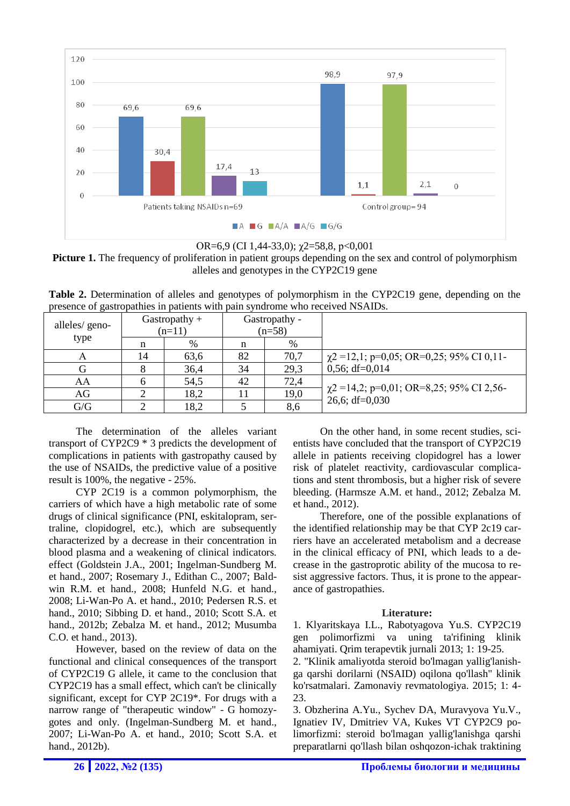



**Picture 1.** The frequency of proliferation in patient groups depending on the sex and control of polymorphism alleles and genotypes in the CYP2C19 gene

Table 2. Determination of alleles and genotypes of polymorphism in the CYP2C19 gene, depending on the presence of gastropathies in patients with pain syndrome who received NSAIDs.

| alleles/ geno-<br>type |    | Gastropathy $+$<br>$(n=11)$ | Gastropathy -<br>$(n=58)$ |      |                                                                    |
|------------------------|----|-----------------------------|---------------------------|------|--------------------------------------------------------------------|
|                        |    | %                           |                           | %    |                                                                    |
| A                      | 14 | 63,6                        | 82                        | 70,7 | $\chi$ 2 = 12,1; p=0,05; OR=0,25; 95% CI 0,11-                     |
|                        |    | 36,4                        | 34                        | 29.3 | $0,56; df=0,014$                                                   |
| AA                     |    | 54,5                        | 42                        | 72,4 |                                                                    |
| AG                     |    | 18,2                        |                           | 19,0 | $\chi$ 2 = 14,2; p=0,01; OR=8,25; 95% CI 2,56-<br>26,6; $df=0,030$ |
| G/G                    |    | 18,2                        |                           | 8,6  |                                                                    |

The determination of the alleles variant transport of CYP2C9 \* 3 predicts the development of complications in patients with gastropathy caused by the use of NSAIDs, the predictive value of a positive result is 100%, the negative - 25%.

CYP 2C19 is a common polymorphism, the carriers of which have a high metabolic rate of some drugs of clinical significance (PNI, eskitalopram, sertraline, clopidogrel, etc.), which are subsequently characterized by a decrease in their concentration in blood plasma and a weakening of clinical indicators. effect (Goldstein J.A., 2001; Ingelman-Sundberg M. et hand., 2007; Rosemary J., Edithan C., 2007; Baldwin R.M. et hand., 2008; Hunfeld N.G. et hand., 2008; Li-Wan-Po A. et hand., 2010; Pedersen R.S. et hand., 2010; Sibbing D. et hand., 2010; Scott S.A. et hand., 2012b; Zebalza M. et hand., 2012; Musumba C.O. et hand., 2013).

However, based on the review of data on the functional and clinical consequences of the transport of CYP2C19 G allele, it came to the conclusion that CYP2C19 has a small effect, which can't be clinically significant, except for CYP 2C19\*. For drugs with a narrow range of "therapeutic window" - G homozygotes and only. (Ingelman-Sundberg M. et hand., 2007; Li-Wan-Po A. et hand., 2010; Scott S.A. et hand., 2012b).

On the other hand, in some recent studies, scientists have concluded that the transport of CYP2C19 allele in patients receiving clopidogrel has a lower risk of platelet reactivity, cardiovascular complications and stent thrombosis, but a higher risk of severe bleeding. (Harmsze A.M. et hand., 2012; Zebalza M. et hand., 2012).

Therefore, one of the possible explanations of the identified relationship may be that CYP 2c19 carriers have an accelerated metabolism and a decrease in the clinical efficacy of PNI, which leads to a decrease in the gastroprotic ability of the mucosa to resist aggressive factors. Thus, it is prone to the appearance of gastropathies.

## **Literature:**

1. Klyaritskaya I.L., Rabotyagova Yu.S. CYP2C19 gen polimorfizmi va uning ta'rifining klinik ahamiyati. Qrim terapevtik jurnali 2013; 1: 19-25.

2. "Klinik amaliyotda steroid bo'lmagan yallig'lanishga qarshi dorilarni (NSAID) oqilona qo'llash" klinik ko'rsatmalari. Zamonaviy revmatologiya. 2015; 1: 4- 23.

3. Obzherina A.Yu., Sychev DA, Muravyova Yu.V., Ignatiev IV, Dmitriev VA, Kukes VT CYP2C9 polimorfizmi: steroid bo'lmagan yallig'lanishga qarshi preparatlarni qo'llash bilan oshqozon-ichak traktining